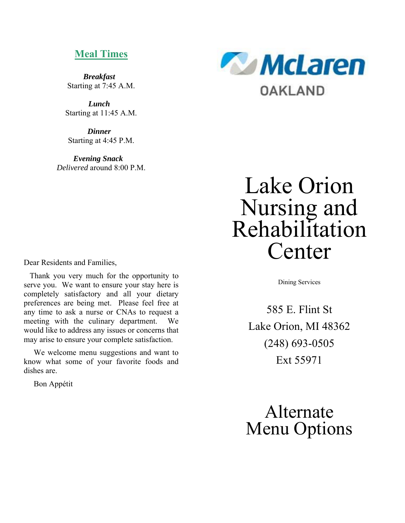### **Meal Times**

*Breakfast*  Starting at 7:45 A.M.

*Lunch*  Starting at 11:45 A.M.

*Dinner*  Starting at 4:45 P.M.

*Evening Snack Delivered* around 8:00 P.M.



# Lake Orion Nursing and Rehabilitation Center

Dining Services

585 E. Flint St Lake Orion, MI 48362 (248) 693-0505 Ext 55971

Alternate Menu Options

Dear Residents and Families,

 Thank you very much for the opportunity to serve you. We want to ensure your stay here is completely satisfactory and all your dietary preferences are being met. Please feel free at any time to ask a nurse or CNAs to request a meeting with the culinary department. We would like to address any issues or concerns that may arise to ensure your complete satisfaction.

 We welcome menu suggestions and want to know what some of your favorite foods and dishes are.

Bon Appétit